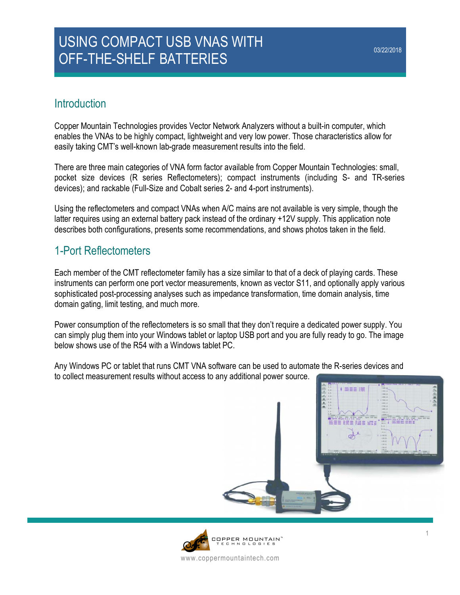# USING COMPACT USB VNAS WITH OFF-THE-SHELF BATTERIES

## **Introduction**

Copper Mountain Technologies provides Vector Network Analyzers without a built-in computer, which enables the VNAs to be highly compact, lightweight and very low power. Those characteristics allow for easily taking CMT's well-known lab-grade measurement results into the field.

There are three main categories of VNA form factor available from Copper Mountain Technologies: small, pocket size devices (R series Reflectometers); compact instruments (including S- and TR-series devices); and rackable (Full-Size and Cobalt series 2- and 4-port instruments).

Using the reflectometers and compact VNAs when A/C mains are not available is very simple, though the latter requires using an external battery pack instead of the ordinary +12V supply. This application note describes both configurations, presents some recommendations, and shows photos taken in the field.

# 1-Port Reflectometers

Each member of the CMT reflectometer family has a size similar to that of a deck of playing cards. These instruments can perform one port vector measurements, known as vector S11, and optionally apply various sophisticated post-processing analyses such as impedance transformation, time domain analysis, time domain gating, limit testing, and much more.

Power consumption of the reflectometers is so small that they don't require a dedicated power supply. You can simply plug them into your Windows tablet or laptop USB port and you are fully ready to go. The image below shows use of the R54 with a Windows tablet PC.

Any Windows PC or tablet that runs CMT VNA software can be used to automate the R-series devices and to collect measurement results without access to any additional power source.



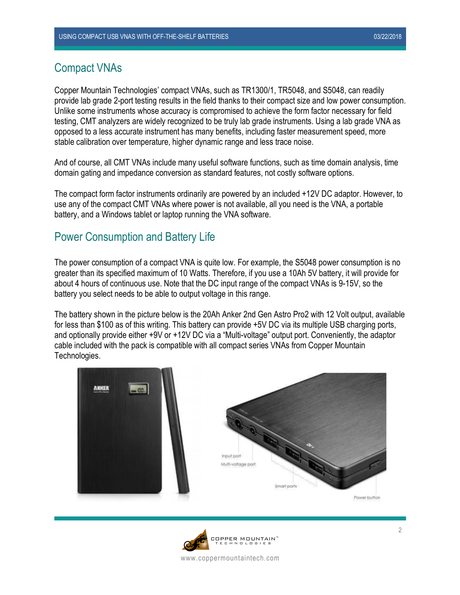#### Compact VNAs

Copper Mountain Technologies' compact VNAs, such as TR1300/1, TR5048, and S5048, can readily provide lab grade 2-port testing results in the field thanks to their compact size and low power consumption. Unlike some instruments whose accuracy is compromised to achieve the form factor necessary for field testing, CMT analyzers are widely recognized to be truly lab grade instruments. Using a lab grade VNA as opposed to a less accurate instrument has many benefits, including faster measurement speed, more stable calibration over temperature, higher dynamic range and less trace noise.

And of course, all CMT VNAs include many useful software functions, such as time domain analysis, time domain gating and impedance conversion as standard features, not costly software options.

The compact form factor instruments ordinarily are powered by an included +12V DC adaptor. However, to use any of the compact CMT VNAs where power is not available, all you need is the VNA, a portable battery, and a Windows tablet or laptop running the VNA software.

#### Power Consumption and Battery Life

The power consumption of a compact VNA is quite low. For example, the S5048 power consumption is no greater than its specified maximum of 10 Watts. Therefore, if you use a 10Ah 5V battery, it will provide for about 4 hours of continuous use. Note that the DC input range of the compact VNAs is 9-15V, so the battery you select needs to be able to output voltage in this range.

The battery shown in the picture below is the 20Ah Anker 2nd Gen Astro Pro2 with 12 Volt output, available for less than \$100 as of this writing. This battery can provide +5V DC via its multiple USB charging ports, and optionally provide either +9V or +12V DC via a "Multi-voltage" output port. Conveniently, the adaptor cable included with the pack is compatible with all compact series VNAs from Copper Mountain Technologies.